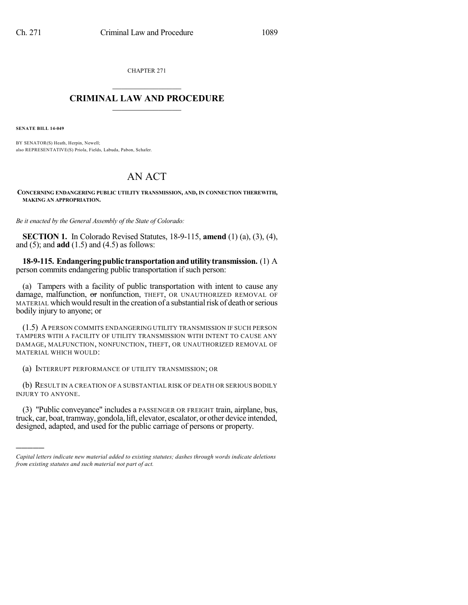CHAPTER 271

## $\mathcal{L}_\text{max}$  . The set of the set of the set of the set of the set of the set of the set of the set of the set of the set of the set of the set of the set of the set of the set of the set of the set of the set of the set **CRIMINAL LAW AND PROCEDURE**  $\frac{1}{2}$  ,  $\frac{1}{2}$  ,  $\frac{1}{2}$  ,  $\frac{1}{2}$  ,  $\frac{1}{2}$  ,  $\frac{1}{2}$  ,  $\frac{1}{2}$

**SENATE BILL 14-049**

)))))

BY SENATOR(S) Heath, Herpin, Newell; also REPRESENTATIVE(S) Priola, Fields, Labuda, Pabon, Schafer.

## AN ACT

**CONCERNING ENDANGERING PUBLIC UTILITY TRANSMISSION, AND, IN CONNECTION THEREWITH, MAKING AN APPROPRIATION.**

*Be it enacted by the General Assembly of the State of Colorado:*

**SECTION 1.** In Colorado Revised Statutes, 18-9-115, **amend** (1) (a), (3), (4), and (5); and **add** (1.5) and (4.5) as follows:

**18-9-115. Endangeringpublic transportationandutilitytransmission.** (1) A person commits endangering public transportation if such person:

(a) Tampers with a facility of public transportation with intent to cause any damage, malfunction, or nonfunction, THEFT, OR UNAUTHORIZED REMOVAL OF MATERIAL which would result in the creation of a substantial risk of death or serious bodily injury to anyone; or

(1.5) APERSON COMMITS ENDANGERING UTILITY TRANSMISSION IF SUCH PERSON TAMPERS WITH A FACILITY OF UTILITY TRANSMISSION WITH INTENT TO CAUSE ANY DAMAGE, MALFUNCTION, NONFUNCTION, THEFT, OR UNAUTHORIZED REMOVAL OF MATERIAL WHICH WOULD:

(a) INTERRUPT PERFORMANCE OF UTILITY TRANSMISSION; OR

(b) RESULT IN A CREATION OF A SUBSTANTIAL RISK OF DEATH OR SERIOUS BODILY INJURY TO ANYONE.

(3) "Public conveyance" includes a PASSENGER OR FREIGHT train, airplane, bus, truck, car, boat, tramway, gondola, lift, elevator, escalator, or other device intended, designed, adapted, and used for the public carriage of persons or property.

*Capital letters indicate new material added to existing statutes; dashes through words indicate deletions from existing statutes and such material not part of act.*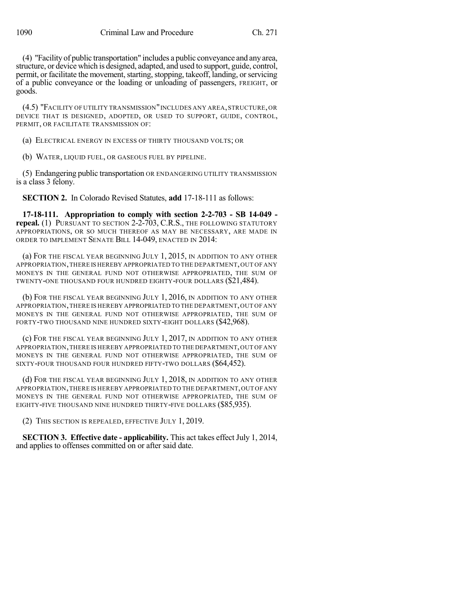(4) "Facility of public transportation" includes a public conveyance and any area, structure, or device which is designed, adapted, and used to support, guide, control, permit, or facilitate the movement, starting, stopping, takeoff, landing, or servicing of a public conveyance or the loading or unloading of passengers, FREIGHT, or goods.

(4.5) "FACILITY OF UTILITY TRANSMISSION"INCLUDES ANY AREA,STRUCTURE,OR DEVICE THAT IS DESIGNED, ADOPTED, OR USED TO SUPPORT, GUIDE, CONTROL, PERMIT, OR FACILITATE TRANSMISSION OF:

(a) ELECTRICAL ENERGY IN EXCESS OF THIRTY THOUSAND VOLTS; OR

(b) WATER, LIQUID FUEL, OR GASEOUS FUEL BY PIPELINE.

(5) Endangering public transportation OR ENDANGERING UTILITY TRANSMISSION is a class 3 felony.

**SECTION 2.** In Colorado Revised Statutes, **add** 17-18-111 as follows:

**17-18-111. Appropriation to comply with section 2-2-703 - SB 14-049 repeal.** (1) PURSUANT TO SECTION 2-2-703, C.R.S., THE FOLLOWING STATUTORY APPROPRIATIONS, OR SO MUCH THEREOF AS MAY BE NECESSARY, ARE MADE IN ORDER TO IMPLEMENT SENATE BILL 14-049, ENACTED IN 2014:

(a) FOR THE FISCAL YEAR BEGINNING JULY 1, 2015, IN ADDITION TO ANY OTHER APPROPRIATION,THERE IS HEREBY APPROPRIATED TO THE DEPARTMENT,OUT OF ANY MONEYS IN THE GENERAL FUND NOT OTHERWISE APPROPRIATED, THE SUM OF TWENTY-ONE THOUSAND FOUR HUNDRED EIGHTY-FOUR DOLLARS (\$21,484).

(b) FOR THE FISCAL YEAR BEGINNING JULY 1, 2016, IN ADDITION TO ANY OTHER APPROPRIATION,THERE IS HEREBY APPROPRIATED TO THE DEPARTMENT,OUT OF ANY MONEYS IN THE GENERAL FUND NOT OTHERWISE APPROPRIATED, THE SUM OF FORTY-TWO THOUSAND NINE HUNDRED SIXTY-EIGHT DOLLARS (\$42,968).

(c) FOR THE FISCAL YEAR BEGINNING JULY 1, 2017, IN ADDITION TO ANY OTHER APPROPRIATION,THERE IS HEREBY APPROPRIATED TO THE DEPARTMENT,OUT OF ANY MONEYS IN THE GENERAL FUND NOT OTHERWISE APPROPRIATED, THE SUM OF SIXTY-FOUR THOUSAND FOUR HUNDRED FIFTY-TWO DOLLARS (\$64,452).

(d) FOR THE FISCAL YEAR BEGINNING JULY 1, 2018, IN ADDITION TO ANY OTHER APPROPRIATION,THERE IS HEREBY APPROPRIATED TO THE DEPARTMENT,OUT OFANY MONEYS IN THE GENERAL FUND NOT OTHERWISE APPROPRIATED, THE SUM OF EIGHTY-FIVE THOUSAND NINE HUNDRED THIRTY-FIVE DOLLARS (\$85,935).

(2) THIS SECTION IS REPEALED, EFFECTIVE JULY 1, 2019.

**SECTION 3. Effective date - applicability.** This act takes effect July 1, 2014, and applies to offenses committed on or after said date.